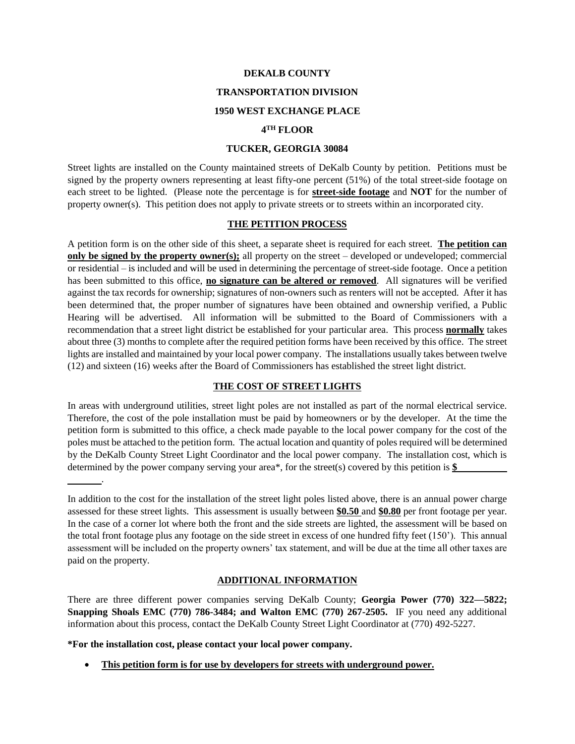#### **DEKALB COUNTY**

## **TRANSPORTATION DIVISION**

## **1950 WEST EXCHANGE PLACE**

#### **4 TH FLOOR**

#### **TUCKER, GEORGIA 30084**

Street lights are installed on the County maintained streets of DeKalb County by petition. Petitions must be signed by the property owners representing at least fifty-one percent (51%) of the total street-side footage on each street to be lighted. (Please note the percentage is for **street-side footage** and **NOT** for the number of property owner(s). This petition does not apply to private streets or to streets within an incorporated city.

### **THE PETITION PROCESS**

A petition form is on the other side of this sheet, a separate sheet is required for each street. **The petition can only be signed by the property owner(s);** all property on the street – developed or undeveloped; commercial or residential – is included and will be used in determining the percentage of street-side footage. Once a petition has been submitted to this office, **no signature can be altered or removed**. All signatures will be verified against the tax records for ownership; signatures of non-owners such as renters will not be accepted. After it has been determined that, the proper number of signatures have been obtained and ownership verified, a Public Hearing will be advertised. All information will be submitted to the Board of Commissioners with a recommendation that a street light district be established for your particular area. This process **normally** takes about three (3) months to complete after the required petition forms have been received by this office. The street lights are installed and maintained by your local power company. The installations usually takes between twelve (12) and sixteen (16) weeks after the Board of Commissioners has established the street light district.

#### **THE COST OF STREET LIGHTS**

In areas with underground utilities, street light poles are not installed as part of the normal electrical service. Therefore, the cost of the pole installation must be paid by homeowners or by the developer. At the time the petition form is submitted to this office, a check made payable to the local power company for the cost of the poles must be attached to the petition form. The actual location and quantity of poles required will be determined by the DeKalb County Street Light Coordinator and the local power company. The installation cost, which is determined by the power company serving your area\*, for the street(s) covered by this petition is **\$**

#### **ADDITIONAL INFORMATION**

There are three different power companies serving DeKalb County; **Georgia Power (770) 322—5822; Snapping Shoals EMC (770) 786-3484; and Walton EMC (770) 267-2505.** IF you need any additional information about this process, contact the DeKalb County Street Light Coordinator at (770) 492-5227.

**\*For the installation cost, please contact your local power company.**

.

**This petition form is for use by developers for streets with underground power.**

In addition to the cost for the installation of the street light poles listed above, there is an annual power charge assessed for these street lights. This assessment is usually between **\$0.50** and **\$0.80** per front footage per year. In the case of a corner lot where both the front and the side streets are lighted, the assessment will be based on the total front footage plus any footage on the side street in excess of one hundred fifty feet (150'). This annual assessment will be included on the property owners' tax statement, and will be due at the time all other taxes are paid on the property.